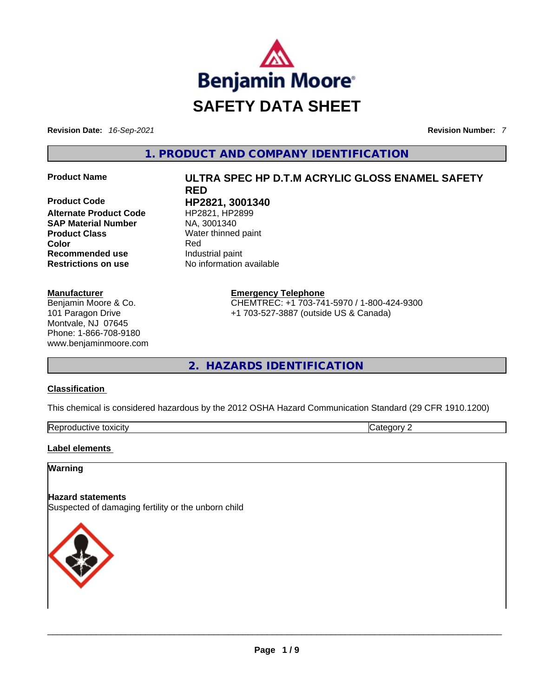

**Revision Date:** *16-Sep-2021* **Revision Number:** *7*

**1. PRODUCT AND COMPANY IDENTIFICATION** 

**Product Code HP2821, 3001340 Alternate Product Code SAP Material Number**  NA, 3001340 **Product Class Water thinned paint Recommended use Industrial paint**<br> **Restrictions on use No** information

#### **Manufacturer**

Benjamin Moore & Co. 101 Paragon Drive Montvale, NJ 07645 Phone: 1-866-708-9180 www.benjaminmoore.com

# **Product Name ULTRA SPEC HP D.T.M ACRYLIC GLOSS ENAMEL SAFETY RED Color** Red

**Emergency Telephone** CHEMTREC: +1 703-741-5970 / 1-800-424-9300 +1 703-527-3887 (outside US & Canada)

**2. HAZARDS IDENTIFICATION** 

#### **Classification**

This chemical is considered hazardous by the 2012 OSHA Hazard Communication Standard (29 CFR 1910.1200)

| Reproductive<br>toxicity | $\sim$ $\sim$ $\sim$ |
|--------------------------|----------------------|

**No information available** 

#### **Label elements**

#### **Warning**

#### **Hazard statements**

Suspected of damaging fertility or the unborn child

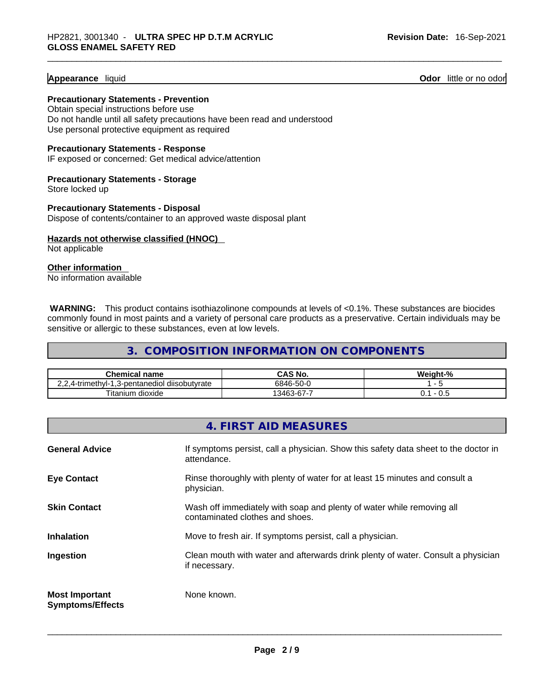#### **Appearance** liquid **Odor 11** and **Odor 11** and **Odor 11** and **Odor 11** and **Odor** 11 and **Odor** 11 and **Odor** 11 and **Odor** 11 and **Odor** 11 and **Odor** 11 and **Odor** 11 and **Odor** 11 and **Odor** 11 and **Odor** 11 and **Odor**

**Precautionary Statements - Prevention** Obtain special instructions before use Do not handle until all safety precautions have been read and understood Use personal protective equipment as required

**Precautionary Statements - Response** IF exposed or concerned: Get medical advice/attention

**Precautionary Statements - Storage** Store locked up

**Precautionary Statements - Disposal** Dispose of contents/container to an approved waste disposal plant

**Hazards not otherwise classified (HNOC)**  Not applicable

**Other information**  No information available

**WARNING:** This product contains isothiazolinone compounds at levels of <0.1%. These substances are biocides commonly found in most paints and a variety of personal care products as a preservative. Certain individuals may be sensitive or allergic to these substances, even at low levels.

**3. COMPOSITION INFORMATION ON COMPONENTS** 

| Chemical<br>name                                                                    | No.<br>wrw                     | W.<br>/0 talah |
|-------------------------------------------------------------------------------------|--------------------------------|----------------|
| diisobutyrate<br>frimethyl-<br>3-pentanediol<br>$\overline{\phantom{a}}$<br>$\cdot$ | $\sim$ $\sim$<br>6846<br>-50-L |                |
| ⊦dioxide<br>itanium                                                                 | . –<br>3463-67-7               | v.J            |

|                                                  | 4. FIRST AID MEASURES                                                                                    |
|--------------------------------------------------|----------------------------------------------------------------------------------------------------------|
| <b>General Advice</b>                            | If symptoms persist, call a physician. Show this safety data sheet to the doctor in<br>attendance.       |
| <b>Eye Contact</b>                               | Rinse thoroughly with plenty of water for at least 15 minutes and consult a<br>physician.                |
| <b>Skin Contact</b>                              | Wash off immediately with soap and plenty of water while removing all<br>contaminated clothes and shoes. |
| <b>Inhalation</b>                                | Move to fresh air. If symptoms persist, call a physician.                                                |
| Ingestion                                        | Clean mouth with water and afterwards drink plenty of water. Consult a physician<br>if necessary.        |
| <b>Most Important</b><br><b>Symptoms/Effects</b> | None known.                                                                                              |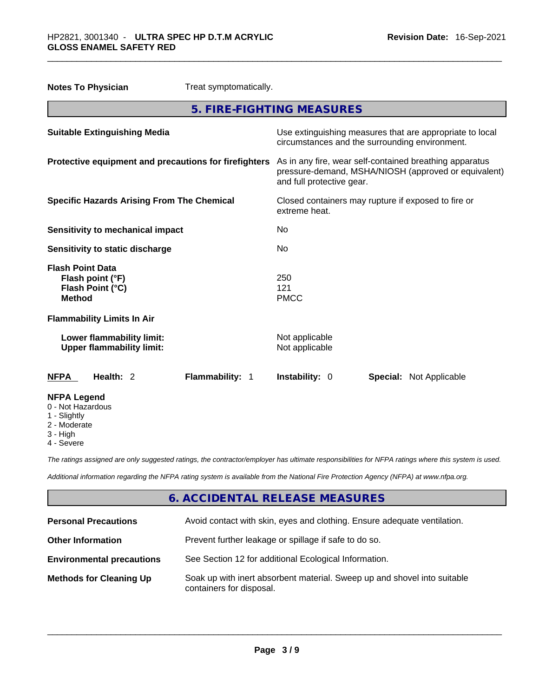| <b>Notes To Physician</b><br>Treat symptomatically.                              |                                                                                                                                              |
|----------------------------------------------------------------------------------|----------------------------------------------------------------------------------------------------------------------------------------------|
|                                                                                  | 5. FIRE-FIGHTING MEASURES                                                                                                                    |
| <b>Suitable Extinguishing Media</b>                                              | Use extinguishing measures that are appropriate to local<br>circumstances and the surrounding environment.                                   |
| Protective equipment and precautions for firefighters                            | As in any fire, wear self-contained breathing apparatus<br>pressure-demand, MSHA/NIOSH (approved or equivalent)<br>and full protective gear. |
| <b>Specific Hazards Arising From The Chemical</b>                                | Closed containers may rupture if exposed to fire or<br>extreme heat.                                                                         |
| Sensitivity to mechanical impact                                                 | No                                                                                                                                           |
| Sensitivity to static discharge                                                  | No                                                                                                                                           |
| <b>Flash Point Data</b><br>Flash point (°F)<br>Flash Point (°C)<br><b>Method</b> | 250<br>121<br><b>PMCC</b>                                                                                                                    |
| <b>Flammability Limits In Air</b>                                                |                                                                                                                                              |
| Lower flammability limit:<br><b>Upper flammability limit:</b>                    | Not applicable<br>Not applicable                                                                                                             |
| Health: 2<br>Flammability: 1<br><b>NFPA</b>                                      | Instability: 0<br><b>Special: Not Applicable</b>                                                                                             |
| <b>NFPA Legend</b><br>0 - Not Hazardous<br>1 - Slightly<br>2 - Moderate          |                                                                                                                                              |

- 
- 3 High
- 4 Severe

*The ratings assigned are only suggested ratings, the contractor/employer has ultimate responsibilities for NFPA ratings where this system is used.* 

*Additional information regarding the NFPA rating system is available from the National Fire Protection Agency (NFPA) at www.nfpa.org.* 

#### **6. ACCIDENTAL RELEASE MEASURES**

| <b>Personal Precautions</b>      | Avoid contact with skin, eyes and clothing. Ensure adequate ventilation.                             |
|----------------------------------|------------------------------------------------------------------------------------------------------|
| <b>Other Information</b>         | Prevent further leakage or spillage if safe to do so.                                                |
| <b>Environmental precautions</b> | See Section 12 for additional Ecological Information.                                                |
| <b>Methods for Cleaning Up</b>   | Soak up with inert absorbent material. Sweep up and shovel into suitable<br>containers for disposal. |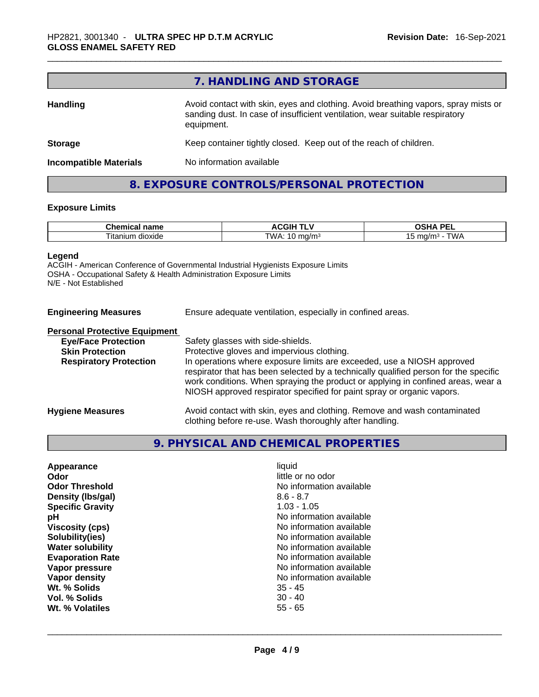|                                                                                                                                                                                                     | 7. HANDLING AND STORAGE                                           |
|-----------------------------------------------------------------------------------------------------------------------------------------------------------------------------------------------------|-------------------------------------------------------------------|
| Avoid contact with skin, eyes and clothing. Avoid breathing vapors, spray mists or<br><b>Handling</b><br>sanding dust. In case of insufficient ventilation, wear suitable respiratory<br>equipment. |                                                                   |
| <b>Storage</b>                                                                                                                                                                                      | Keep container tightly closed. Keep out of the reach of children. |
| <b>Incompatible Materials</b>                                                                                                                                                                       | No information available                                          |

# **8. EXPOSURE CONTROLS/PERSONAL PROTECTION**

#### **Exposure Limits**

| m.<br>$-$<br>⊶ne<br>Ш<br>панк       | .<br>.<br>ыı       | <b>DE</b><br>$\mathbf{r}$<br>-- |
|-------------------------------------|--------------------|---------------------------------|
| $- \cdot$ .<br>dioxide<br>. itanium | TWA<br>.a/m<br>. . | m <sub>m</sub><br>ີ             |

#### **Legend**

ACGIH - American Conference of Governmental Industrial Hygienists Exposure Limits OSHA - Occupational Safety & Health Administration Exposure Limits N/E - Not Established

| <b>Engineering Measures</b> |  |
|-----------------------------|--|
|                             |  |

Ensure adequate ventilation, especially in confined areas.

#### **Personal Protective Equipment**

| <b>Eye/Face Protection</b>    | Safety glasses with side-shields.                                                                                                                                                                                                                                                                                            |
|-------------------------------|------------------------------------------------------------------------------------------------------------------------------------------------------------------------------------------------------------------------------------------------------------------------------------------------------------------------------|
| <b>Skin Protection</b>        | Protective gloves and impervious clothing.                                                                                                                                                                                                                                                                                   |
| <b>Respiratory Protection</b> | In operations where exposure limits are exceeded, use a NIOSH approved<br>respirator that has been selected by a technically qualified person for the specific<br>work conditions. When spraying the product or applying in confined areas, wear a<br>NIOSH approved respirator specified for paint spray or organic vapors. |
| <b>Hygiene Measures</b>       | Avoid contact with skin, eyes and clothing. Remove and wash contaminated<br>clothing before re-use. Wash thoroughly after handling.                                                                                                                                                                                          |

#### **9. PHYSICAL AND CHEMICAL PROPERTIES**

| Appearance              | liquid                   |
|-------------------------|--------------------------|
| <b>Odor</b>             | little or no odor        |
| <b>Odor Threshold</b>   | No information available |
| Density (Ibs/gal)       | $8.6 - 8.7$              |
| <b>Specific Gravity</b> | $1.03 - 1.05$            |
| рH                      | No information available |
| <b>Viscosity (cps)</b>  | No information available |
| Solubility(ies)         | No information available |
| <b>Water solubility</b> | No information available |
| <b>Evaporation Rate</b> | No information available |
| Vapor pressure          | No information available |
| Vapor density           | No information available |
| Wt. % Solids            | $35 - 45$                |
| Vol. % Solids           | $30 - 40$                |
| Wt. % Volatiles         | $55 - 65$                |
|                         |                          |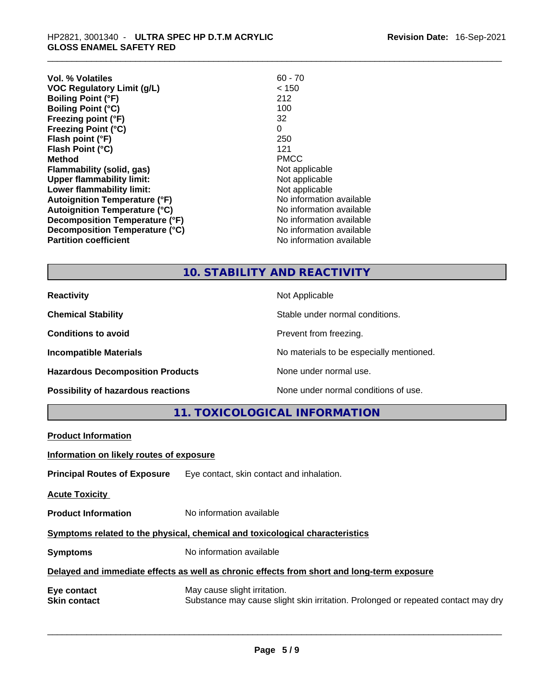| $60 - 70$                |
|--------------------------|
| < 150                    |
| 212                      |
| 100                      |
| 32                       |
| 0                        |
| 250                      |
| 121                      |
| <b>PMCC</b>              |
| Not applicable           |
| Not applicable           |
| Not applicable           |
| No information available |
| No information available |
| No information available |
| No information available |
| No information available |
|                          |

### **10. STABILITY AND REACTIVITY**

| <b>Reactivity</b>                       | Not Applicable                           |
|-----------------------------------------|------------------------------------------|
| <b>Chemical Stability</b>               | Stable under normal conditions.          |
| <b>Conditions to avoid</b>              | Prevent from freezing.                   |
| <b>Incompatible Materials</b>           | No materials to be especially mentioned. |
| <b>Hazardous Decomposition Products</b> | None under normal use.                   |
| Possibility of hazardous reactions      | None under normal conditions of use.     |

**11. TOXICOLOGICAL INFORMATION** 

| <b>Product Information</b>                                                                                                                              |  |  |  |
|---------------------------------------------------------------------------------------------------------------------------------------------------------|--|--|--|
| Information on likely routes of exposure                                                                                                                |  |  |  |
| <b>Principal Routes of Exposure</b> Eye contact, skin contact and inhalation.                                                                           |  |  |  |
| <b>Acute Toxicity</b>                                                                                                                                   |  |  |  |
| <b>Product Information</b><br>No information available                                                                                                  |  |  |  |
| Symptoms related to the physical, chemical and toxicological characteristics                                                                            |  |  |  |
| No information available<br><b>Symptoms</b>                                                                                                             |  |  |  |
| Delayed and immediate effects as well as chronic effects from short and long-term exposure                                                              |  |  |  |
| Eye contact<br>May cause slight irritation.<br>Substance may cause slight skin irritation. Prolonged or repeated contact may dry<br><b>Skin contact</b> |  |  |  |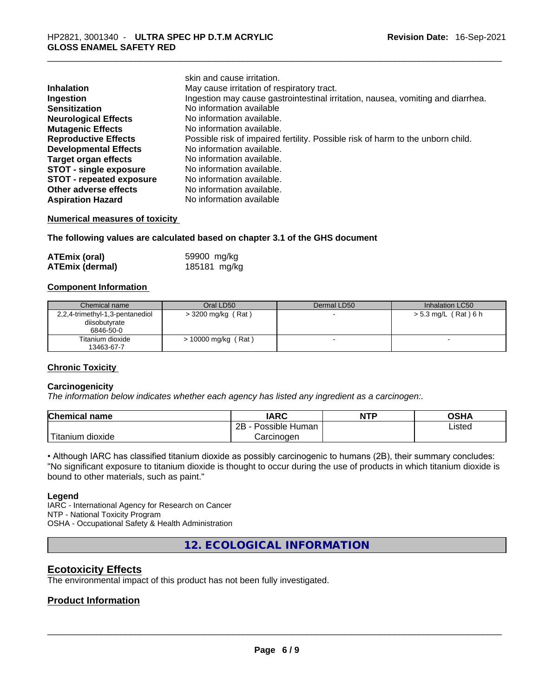|                                 | skin and cause irritation.                                                      |
|---------------------------------|---------------------------------------------------------------------------------|
| <b>Inhalation</b>               | May cause irritation of respiratory tract.                                      |
| Ingestion                       | Ingestion may cause gastrointestinal irritation, nausea, vomiting and diarrhea. |
| <b>Sensitization</b>            | No information available                                                        |
| <b>Neurological Effects</b>     | No information available.                                                       |
| <b>Mutagenic Effects</b>        | No information available.                                                       |
| <b>Reproductive Effects</b>     | Possible risk of impaired fertility. Possible risk of harm to the unborn child. |
| <b>Developmental Effects</b>    | No information available.                                                       |
| <b>Target organ effects</b>     | No information available.                                                       |
| <b>STOT - single exposure</b>   | No information available.                                                       |
| <b>STOT - repeated exposure</b> | No information available.                                                       |
| Other adverse effects           | No information available.                                                       |
| <b>Aspiration Hazard</b>        | No information available                                                        |

#### **Numerical measures of toxicity**

**The following values are calculated based on chapter 3.1 of the GHS document**

| <b>ATEmix (oral)</b>   | 59900 mg/kg  |
|------------------------|--------------|
| <b>ATEmix (dermal)</b> | 185181 mg/kg |

#### **Component Information**

| Chemical name                   | Oral LD50             | Dermal LD50 | Inhalation LC50      |
|---------------------------------|-----------------------|-------------|----------------------|
| 2,2,4-trimethyl-1,3-pentanediol | $>$ 3200 mg/kg (Rat)  |             | > 5.3 mg/L (Rat) 6 h |
| diisobutyrate                   |                       |             |                      |
| 6846-50-0                       |                       |             |                      |
| Titanium dioxide                | $> 10000$ mg/kg (Rat) |             | $\sim$               |
| 13463-67-7                      |                       |             |                      |

#### **Chronic Toxicity**

#### **Carcinogenicity**

*The information below indicates whether each agency has listed any ingredient as a carcinogen:.* 

| <b>Chemical name</b>  | <b>IARC</b>          | <b>NTP</b> | OSHA   |
|-----------------------|----------------------|------------|--------|
|                       | Possible Human<br>2Β |            | Listed |
| Titanium 、<br>dioxide | Carcinoɑen           |            |        |

• Although IARC has classified titanium dioxide as possibly carcinogenic to humans (2B), their summary concludes: "No significant exposure to titanium dioxide is thought to occur during the use of products in which titanium dioxide is bound to other materials, such as paint."

#### **Legend**

IARC - International Agency for Research on Cancer NTP - National Toxicity Program OSHA - Occupational Safety & Health Administration

**12. ECOLOGICAL INFORMATION** 

#### **Ecotoxicity Effects**

The environmental impact of this product has not been fully investigated.

#### **Product Information**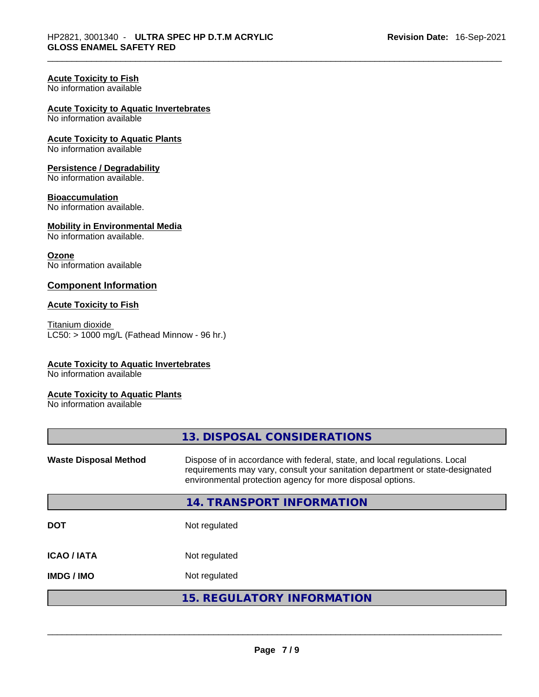#### **Acute Toxicity to Fish**

No information available

#### **Acute Toxicity to Aquatic Invertebrates**

No information available

## **Acute Toxicity to Aquatic Plants**

No information available

#### **Persistence / Degradability**

No information available.

#### **Bioaccumulation**

No information available.

#### **Mobility in Environmental Media**

No information available.

#### **Ozone**

No information available

#### **Component Information**

#### **Acute Toxicity to Fish**

Titanium dioxide  $LC50:$  > 1000 mg/L (Fathead Minnow - 96 hr.)

#### **Acute Toxicity to Aquatic Invertebrates**

No information available

#### **Acute Toxicity to Aquatic Plants**

No information available

| <b>Waste Disposal Method</b> | Dispose of in accordance with federal, state, and local regulations. Local<br>requirements may vary, consult your sanitation department or state-designated<br>environmental protection agency for more disposal options. |
|------------------------------|---------------------------------------------------------------------------------------------------------------------------------------------------------------------------------------------------------------------------|
|                              | 14. TRANSPORT INFORMATION                                                                                                                                                                                                 |
| <b>DOT</b>                   | Not regulated                                                                                                                                                                                                             |
| <b>ICAO/IATA</b>             | Not regulated                                                                                                                                                                                                             |
| <b>IMDG/IMO</b>              | Not regulated                                                                                                                                                                                                             |
|                              | <b>15. REGULATORY INFORMATION</b>                                                                                                                                                                                         |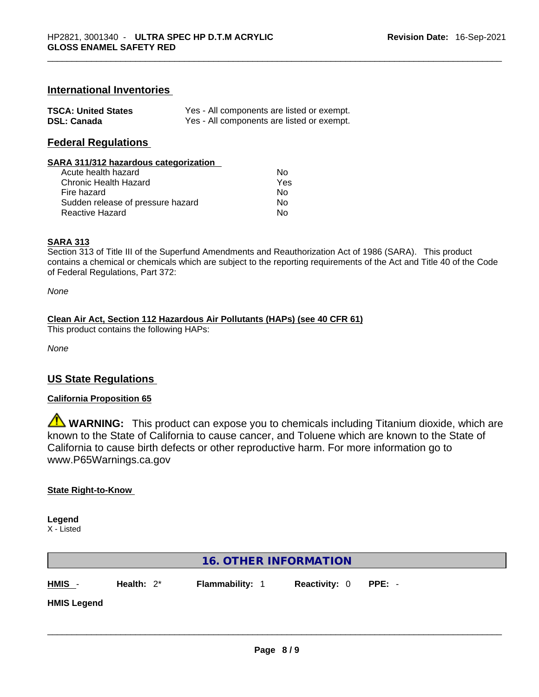#### **International Inventories**

| <b>TSCA: United States</b> | Yes - All components are listed or exempt. |
|----------------------------|--------------------------------------------|
| <b>DSL: Canada</b>         | Yes - All components are listed or exempt. |

#### **Federal Regulations**

#### **SARA 311/312 hazardous categorization**

| Acute health hazard               | Nο  |
|-----------------------------------|-----|
| Chronic Health Hazard             | Yes |
| Fire hazard                       | N٥  |
| Sudden release of pressure hazard | N٥  |
| Reactive Hazard                   | N٥  |

#### **SARA 313**

Section 313 of Title III of the Superfund Amendments and Reauthorization Act of 1986 (SARA). This product contains a chemical or chemicals which are subject to the reporting requirements of the Act and Title 40 of the Code of Federal Regulations, Part 372:

*None*

#### **Clean Air Act,Section 112 Hazardous Air Pollutants (HAPs) (see 40 CFR 61)**

This product contains the following HAPs:

*None*

#### **US State Regulations**

#### **California Proposition 65**

**WARNING:** This product can expose you to chemicals including Titanium dioxide, which are known to the State of California to cause cancer, and Toluene which are known to the State of California to cause birth defects or other reproductive harm. For more information go to www.P65Warnings.ca.gov

#### **State Right-to-Know**

**Legend** X - Listed

| 16. OTHER INFORMATION |               |                        |                      |        |
|-----------------------|---------------|------------------------|----------------------|--------|
| $HMIS -$              | Health: $2^*$ | <b>Flammability: 1</b> | <b>Reactivity: 0</b> | PPE: - |
| <b>HMIS Legend</b>    |               |                        |                      |        |